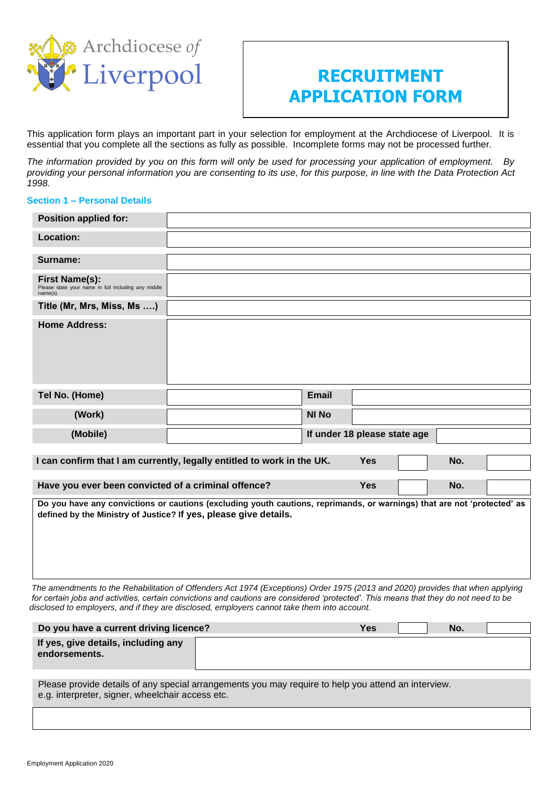

# **RECRUITMENT APPLICATION FORM**

This application form plays an important part in your selection for employment at the Archdiocese of Liverpool. It is essential that you complete all the sections as fully as possible. Incomplete forms may not be processed further.

*The information provided by you on this form will only be used for processing your application of employment. By providing your personal information you are consenting to its use, for this purpose, in line with the Data Protection Act 1998.*

# **Section 1 – Personal Details**

| <b>Position applied for:</b>                                                            |                                                                                                                         |              |                              |     |  |
|-----------------------------------------------------------------------------------------|-------------------------------------------------------------------------------------------------------------------------|--------------|------------------------------|-----|--|
| Location:                                                                               |                                                                                                                         |              |                              |     |  |
| Surname:                                                                                |                                                                                                                         |              |                              |     |  |
| <b>First Name(s):</b><br>Please state your name in full including any middle<br>name(s) |                                                                                                                         |              |                              |     |  |
| Title (Mr, Mrs, Miss, Ms )                                                              |                                                                                                                         |              |                              |     |  |
| <b>Home Address:</b>                                                                    |                                                                                                                         |              |                              |     |  |
| Tel No. (Home)                                                                          |                                                                                                                         | <b>Email</b> |                              |     |  |
| (Work)                                                                                  |                                                                                                                         | <b>NI No</b> |                              |     |  |
| (Mobile)                                                                                |                                                                                                                         |              | If under 18 please state age |     |  |
|                                                                                         | I can confirm that I am currently, legally entitled to work in the UK.                                                  |              | <b>Yes</b>                   | No. |  |
| Have you ever been convicted of a criminal offence?                                     |                                                                                                                         |              | <b>Yes</b>                   | No. |  |
| defined by the Ministry of Justice? If yes, please give details.                        | Do you have any convictions or cautions (excluding youth cautions, reprimands, or warnings) that are not 'protected' as |              |                              |     |  |

 *The amendments to the Rehabilitation of Offenders Act 1974 (Exceptions) Order 1975 (2013 and 2020) provides that when applying for certain jobs and activities, certain convictions and cautions are considered 'protected'. This means that they do not need to be disclosed to employers, and if they are disclosed, employers cannot take them into account.*

| Do you have a current driving licence?               | Yes | No. |  |
|------------------------------------------------------|-----|-----|--|
| If yes, give details, including any<br>endorsements. |     |     |  |

Please provide details of any special arrangements you may require to help you attend an interview. e.g. interpreter, signer, wheelchair access etc.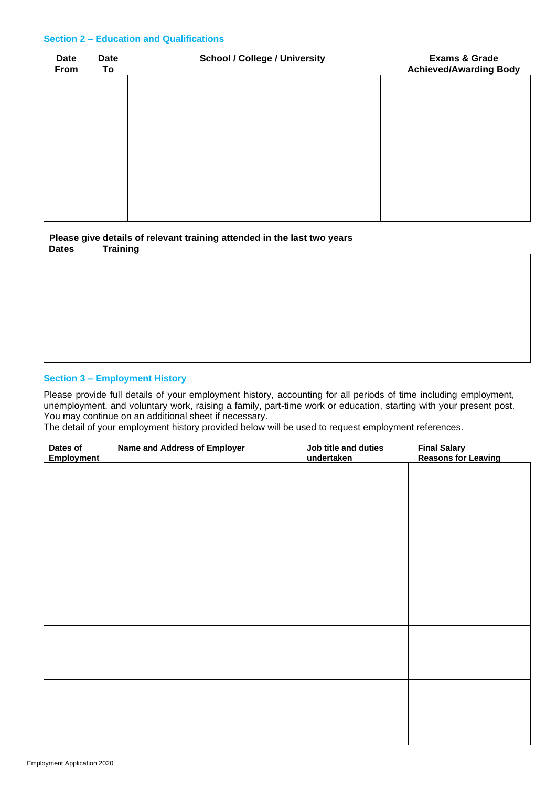### **Section 2 – Education and Qualifications**

| <b>Date</b><br>From | <b>Date</b><br>To | <b>School / College / University</b> | <b>Exams &amp; Grade</b><br><b>Achieved/Awarding Body</b> |
|---------------------|-------------------|--------------------------------------|-----------------------------------------------------------|
|                     |                   |                                      |                                                           |
|                     |                   |                                      |                                                           |
|                     |                   |                                      |                                                           |
|                     |                   |                                      |                                                           |
|                     |                   |                                      |                                                           |
|                     |                   |                                      |                                                           |

**Please give details of relevant training attended in the last two years**

| <b>Dates</b> | <b>Training</b> |
|--------------|-----------------|
|              |                 |
|              |                 |
|              |                 |
|              |                 |
|              |                 |
|              |                 |
|              |                 |
|              |                 |
|              |                 |
|              |                 |
|              |                 |

# **Section 3 – Employment History**

Please provide full details of your employment history, accounting for all periods of time including employment, unemployment, and voluntary work, raising a family, part-time work or education, starting with your present post. You may continue on an additional sheet if necessary.

The detail of your employment history provided below will be used to request employment references.

| Dates of<br><b>Employment</b> | <b>Name and Address of Employer</b> | Job title and duties<br>undertaken | <b>Final Salary<br/>Reasons for Leaving</b> |
|-------------------------------|-------------------------------------|------------------------------------|---------------------------------------------|
|                               |                                     |                                    |                                             |
|                               |                                     |                                    |                                             |
|                               |                                     |                                    |                                             |
|                               |                                     |                                    |                                             |
|                               |                                     |                                    |                                             |
|                               |                                     |                                    |                                             |
|                               |                                     |                                    |                                             |
|                               |                                     |                                    |                                             |
|                               |                                     |                                    |                                             |
|                               |                                     |                                    |                                             |
|                               |                                     |                                    |                                             |
|                               |                                     |                                    |                                             |
|                               |                                     |                                    |                                             |
|                               |                                     |                                    |                                             |
|                               |                                     |                                    |                                             |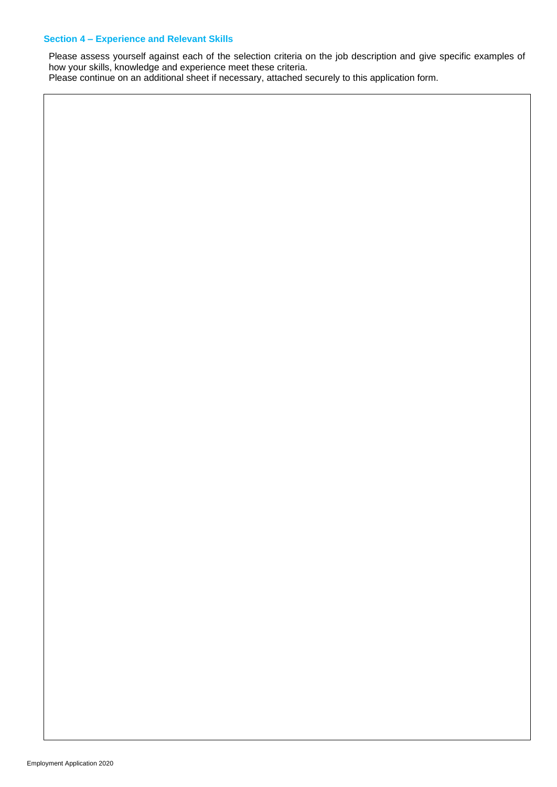# **Section 4 – Experience and Relevant Skills**

Please assess yourself against each of the selection criteria on the job description and give specific examples of how your skills, knowledge and experience meet these criteria.

Please continue on an additional sheet if necessary, attached securely to this application form.